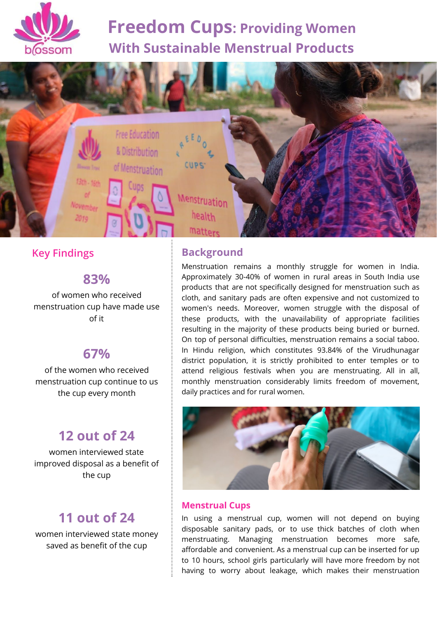

# **Freedom Cups: Providing Women With Sustainable Menstrual Products**



# **Key Findings**

### **83%**

of women who received menstruation cup have made use of it

# **67%**

of the women who received menstruation cup continue to us the cup every month

# **12 out of 24**

women interviewed state improved disposal as a benefit of the cup

# **11 out of 24**

women interviewed state money saved as benefit of the cup

## **Background**

Menstruation remains a monthly struggle for women in India. Approximately 30-40% of women in rural areas in South India use products that are not specifically designed for menstruation such as cloth, and sanitary pads are often expensive and not customized to women's needs. Moreover, women struggle with the disposal of these products, with the unavailability of appropriate facilities resulting in the majority of these products being buried or burned. On top of personal difficulties, menstruation remains a social taboo. In Hindu religion, which constitutes 93.84% of the Virudhunagar district population, it is strictly prohibited to enter temples or to attend religious festivals when you are menstruating. All in all, monthly menstruation considerably limits freedom of movement, daily practices and for rural women.



#### **Menstrual Cups**

In using a menstrual cup, women will not depend on buying disposable sanitary pads, or to use thick batches of cloth when menstruating. Managing menstruation becomes more safe, affordable and convenient. As a menstrual cup can be inserted for up to 10 hours, school girls particularly will have more freedom by not having to worry about leakage, which makes their menstruation